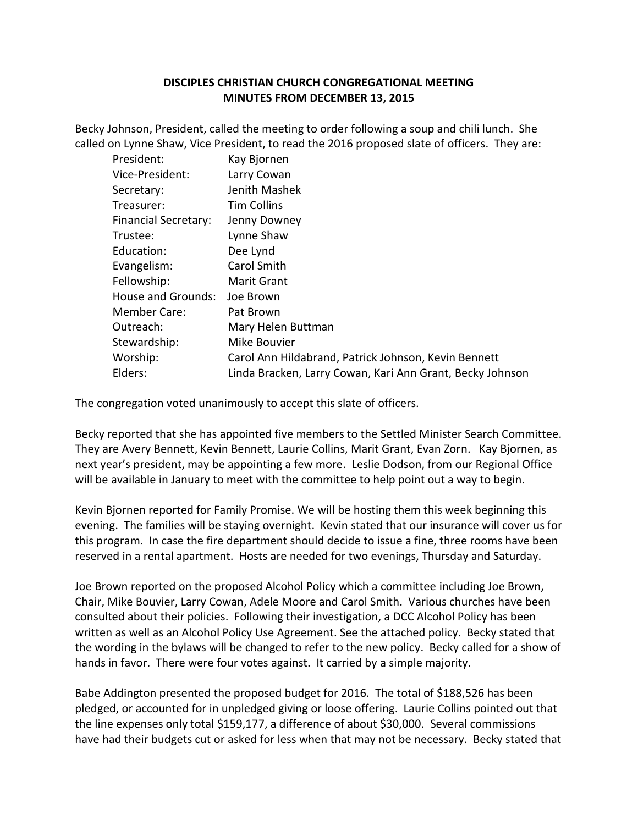## **DISCIPLES CHRISTIAN CHURCH CONGREGATIONAL MEETING MINUTES FROM DECEMBER 13, 2015**

Becky Johnson, President, called the meeting to order following a soup and chili lunch. She called on Lynne Shaw, Vice President, to read the 2016 proposed slate of officers. They are:

| President:                  | Kay Bjornen                                               |
|-----------------------------|-----------------------------------------------------------|
| Vice-President:             | Larry Cowan                                               |
| Secretary:                  | Jenith Mashek                                             |
| Treasurer:                  | <b>Tim Collins</b>                                        |
| <b>Financial Secretary:</b> | Jenny Downey                                              |
| Trustee:                    | Lynne Shaw                                                |
| Education:                  | Dee Lynd                                                  |
| Evangelism:                 | Carol Smith                                               |
| Fellowship:                 | Marit Grant                                               |
| <b>House and Grounds:</b>   | Joe Brown                                                 |
| <b>Member Care:</b>         | Pat Brown                                                 |
| Outreach:                   | Mary Helen Buttman                                        |
| Stewardship:                | Mike Bouvier                                              |
| Worship:                    | Carol Ann Hildabrand, Patrick Johnson, Kevin Bennett      |
| Elders:                     | Linda Bracken, Larry Cowan, Kari Ann Grant, Becky Johnson |

The congregation voted unanimously to accept this slate of officers.

Becky reported that she has appointed five members to the Settled Minister Search Committee. They are Avery Bennett, Kevin Bennett, Laurie Collins, Marit Grant, Evan Zorn. Kay Bjornen, as next year's president, may be appointing a few more. Leslie Dodson, from our Regional Office will be available in January to meet with the committee to help point out a way to begin.

Kevin Bjornen reported for Family Promise. We will be hosting them this week beginning this evening. The families will be staying overnight. Kevin stated that our insurance will cover us for this program. In case the fire department should decide to issue a fine, three rooms have been reserved in a rental apartment. Hosts are needed for two evenings, Thursday and Saturday.

Joe Brown reported on the proposed Alcohol Policy which a committee including Joe Brown, Chair, Mike Bouvier, Larry Cowan, Adele Moore and Carol Smith. Various churches have been consulted about their policies. Following their investigation, a DCC Alcohol Policy has been written as well as an Alcohol Policy Use Agreement. See the attached policy. Becky stated that the wording in the bylaws will be changed to refer to the new policy. Becky called for a show of hands in favor. There were four votes against. It carried by a simple majority.

Babe Addington presented the proposed budget for 2016. The total of \$188,526 has been pledged, or accounted for in unpledged giving or loose offering. Laurie Collins pointed out that the line expenses only total \$159,177, a difference of about \$30,000. Several commissions have had their budgets cut or asked for less when that may not be necessary. Becky stated that